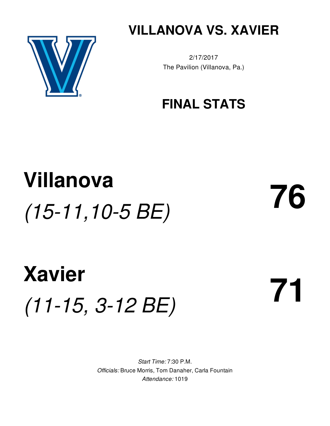

**VILLANOVA VS. XAVIER**

2/17/2017 The Pavilion (Villanova, Pa.)

### **FINAL STATS**

## **Villanova** *(15-11,10-5 BE)* **76**

# **Xavier** *(11-15, 3-12 BE)* **71**

*Start Time:* 7:30 P.M. *Officials:* Bruce Morris, Tom Danaher, Carla Fountain *Attendance:* 1019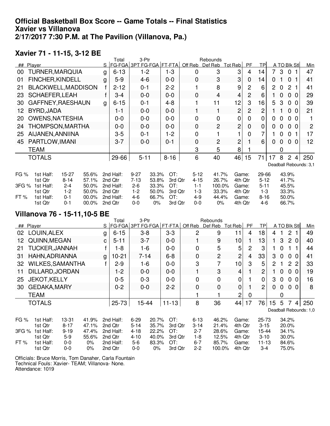#### **Official Basketball Box Score -- Game Totals -- Final Statistics Xavier vs Villanova 2/17/2017 7:30 P.M. at The Pavilion (Villanova, Pa.)**

#### **Xavier 71 - 11-15, 3-12 BE**

|             |                         |                       |                |   | Total                    | 3-Ptr                |                |                |                      | Rebounds       |                  |                |                       |    |          |                |                        |
|-------------|-------------------------|-----------------------|----------------|---|--------------------------|----------------------|----------------|----------------|----------------------|----------------|------------------|----------------|-----------------------|----|----------|----------------|------------------------|
| ##          | Player                  |                       |                |   | FG-FGA 3PT FG-FGA FT-FTA |                      |                |                | Off Reb              | Def Reb        | Tot Reb          | <b>PF</b>      | TPI                   |    |          | A TO BIK Stl   | <u>Min</u>             |
| 00          | TURNER, MARQUIA         |                       |                | g | $6 - 13$                 | $1 - 2$              |                | $1 - 3$        | 0                    | 3              | 3                | 4              | 14                    | 7. | 3        | 0              | 47                     |
| 01          | <b>FINCHER, KINDELL</b> |                       |                | g | $5 - 9$                  | $4 - 6$              |                | $0 - 0$        | $\mathbf 0$          | 3              | 3                | 0              | 14                    | 0  |          | 0              | 41                     |
| 21          | BLACKWELL, MADDISON     |                       |                | f | $2 - 12$                 | $0 - 1$              |                | $2 - 2$        |                      | 8              | 9                | 2              | 6                     | 2  | 0        | 2              | 41                     |
| 23          | <b>SCHAEFER, LEAH</b>   |                       |                | f | $3 - 4$                  | $0 - 0$              |                | $0-0$          | $\mathbf 0$          | 4              | 4                | $\overline{2}$ | 6                     |    | $\Omega$ | 0<br>$\Omega$  | 29                     |
| 30          | GAFFNEY, RAESHAUN       |                       |                | g | $6 - 15$                 | $0 - 1$              |                | $4 - 8$        |                      | 11             | 12               | 3              | 16                    | 5  | 3        | 0<br>$\Omega$  | 39                     |
| 12          | BYRD, JADA              |                       |                |   | 1-1                      | $0 - 0$              |                | $0 - 0$        |                      | 1              | 2                | $\overline{2}$ | 2                     |    |          | 0<br>$\Omega$  | 21                     |
| 20          | <b>OWENS, NA'TESHIA</b> |                       |                |   | 0-0                      | $0 - 0$              |                | $0-0$          | $\Omega$             | $\mathbf 0$    | 0                | 0              | 0                     | 0  | 0        | 0<br>0         |                        |
| 24          | THOMPSON, MARTHA        |                       |                |   | 0-0                      | $0 - 0$              |                | $0 - 0$        | 0                    | 2              | 2                | 0              | 0                     | 0  | 0        | 0<br>$\Omega$  | $\overline{2}$         |
| 25          | AIJANEN, ANNIINA        |                       |                |   | $3 - 5$                  | $0 - 1$              |                | $1 - 2$        | 0                    |                |                  | 0              | 7                     |    | 0        | 0              | 17                     |
| 45          | PARTLOW, IMANI          |                       |                |   | $3 - 7$                  | $0-0$                |                | $0 - 1$        | 0                    | 2              | 2                |                | 6                     | 0  | 0        | 0<br>-0        | 12                     |
|             | <b>TEAM</b>             |                       |                |   |                          |                      |                |                | 3                    | 5              | 8                |                |                       |    | 0        |                |                        |
|             | <b>TOTALS</b>           |                       |                |   | 29-66                    | $5 - 11$             |                | $8 - 16$       | 6                    | 40             | 46               | 15             | 71                    | 17 | 8        | 2<br>4         | 250                    |
|             |                         |                       |                |   |                          |                      |                |                |                      |                |                  |                |                       |    |          |                | Deadball Rebounds: 3,1 |
| <b>FG %</b> | 1st Half:<br>1st Qtr    | $15 - 27$<br>$8 - 14$ | 55.6%<br>57.1% |   | 2nd Half:<br>2nd Qtr     | $9 - 27$<br>$7 - 13$ | 33.3%<br>53.8% | OT:<br>3rd Qtr | $5 - 12$<br>$4 - 15$ | 41.7%<br>26.7% | Game:<br>4th Qtr |                | $29 - 66$<br>$5 - 12$ |    |          | 43.9%<br>41.7% |                        |
| 3FG %       | 1st Half:               | $2 - 4$               | 50.0%          |   | 2nd Half:                | $2 - 6$              | 33.3%          | OT:            | $1 - 1$              | 100.0%         | Game:            |                | $5 - 11$              |    |          | 45.5%          |                        |
|             | 1st Qtr                 | $1-2$                 | 50.0%          |   | 2nd Qtr                  | $1 - 2$              | 50.0%          | 3rd Qtr        | $1-3$                | 33.3%          | 4th Qtr          |                | $1 - 3$               |    |          | 33.3%          |                        |
| FT%         | 1st Half:               | $0 - 1$               | 00.0%          |   | 2nd Half:                | $4-6$                | 66.7%          | OT:            | 4-9                  | 44.4%          | Game:            |                | $8 - 16$              |    |          | 50.0%          |                        |
|             | 1st Qtr                 | $0 - 1$               | 00.0%          |   | 2nd Qtr                  | $0 - 0$              | $0\%$          | 3rd Qtr        | $0 - 0$              | $0\%$          | 4th Qtr          |                | $4-6$                 |    |          | 66.7%          |                        |

### **Villanova 76 - 15-11,10-5 BE**

|       |                         |          |       |   | Total             | 3-Ptr    |       |           | <b>Rebounds</b> |             |                |         |                 |                |                |                |             |                       |          |                        |
|-------|-------------------------|----------|-------|---|-------------------|----------|-------|-----------|-----------------|-------------|----------------|---------|-----------------|----------------|----------------|----------------|-------------|-----------------------|----------|------------------------|
|       | ## Plaver               |          |       | S | FG-FGA 3PT FG-FGA |          |       | $FT-FTA$  | Off Reb         |             | Def Reb        | Tot Reb |                 | <b>PF</b>      | <b>TPI</b>     |                |             | A TO BIK Stl          |          | Min                    |
| 02    | LOUIN, ALEX             |          |       | g | $6 - 15$          | $3 - 8$  |       | $3 - 3$   |                 | 2           | 9              |         | 11              | 4              | 18             | 4              |             | $\mathbf{2}^{\prime}$ |          | 49                     |
| 12    | QUINN, MEGAN            |          |       | С | $5 - 11$          | $3 - 7$  |       | $0 - 0$   |                 |             | 9              |         | 10 <sub>1</sub> |                | 13             | 1.             | 3           | 2 <sub>0</sub>        |          | 40                     |
| 21    | <b>TUCKER, JANNAH</b>   |          |       |   | $1 - 8$           | 1-6      |       | $0 - 0$   |                 | $\Omega$    | 5              |         | 5               | 2              | 3              |                | $\Omega$    |                       |          | 44                     |
| 31    | HAHN, ADRIANNA          |          |       | g | $10-21$           | $7 - 14$ |       | $6 - 8$   |                 | 0           | $\overline{2}$ |         | 2               | $\overline{4}$ | 33             | 3              | $\mathbf 0$ | 0 <sub>0</sub>        |          | 41                     |
| 32    | <b>WILKES, SAMANTHA</b> |          |       |   | $2 - 9$           | $1 - 6$  |       | $0-0$     |                 | 3           | $\overline{7}$ |         | 10              | 3              | 5              | $\overline{2}$ |             | 2 <sub>2</sub>        |          | 33                     |
| 11    | DILLARD, JORDAN         |          |       |   | $1 - 2$           | $0-0$    |       | $0 - 0$   |                 |             | 3              |         | 4               |                | 2              |                | 0           | 0                     | - 0      | 19                     |
| 25    | <b>JEKOT, KELLY</b>     |          |       |   | $0 - 5$           | $0 - 3$  |       | $0-0$     |                 | $\mathbf 0$ | 0              |         | 0               |                | 0              | 3              | 0           | 0                     | 0        | 16                     |
| 30    | <b>GEDAKA, MARY</b>     |          |       |   | $0 - 2$           | $0-0$    |       | $2 - 2$   |                 | $\mathbf 0$ | $\mathbf 0$    |         | 0               |                | $\overline{2}$ | $\mathbf{0}$   | 0           | 0                     | $\Omega$ | 8                      |
|       | <b>TEAM</b>             |          |       |   |                   |          |       |           |                 |             |                |         | $\overline{c}$  | 0              |                |                | 0           |                       |          |                        |
|       | <b>TOTALS</b>           |          |       |   | 25-73             | 15-44    |       | $11 - 13$ |                 | 8           | 36             |         | 44              | 17             | 76             | 15             | 5           | -7                    | 4        | 250                    |
|       |                         |          |       |   |                   |          |       |           |                 |             |                |         |                 |                |                |                |             |                       |          | Deadball Rebounds: 1,0 |
| FG %  | 1st Half:               | 13-31    | 41.9% |   | 2nd Half:         | $6 - 29$ | 20.7% | OT:       |                 | $6 - 13$    | 46.2%          |         | Game:           |                | $25 - 73$      |                |             | 34.2%                 |          |                        |
|       | 1st Qtr                 | $8 - 17$ | 47.1% |   | 2nd Qtr           | $5 - 14$ | 35.7% | 3rd Qtr   |                 | $3 - 14$    | 21.4%          |         | 4th Qtr         |                | $3 - 15$       |                |             | 20.0%                 |          |                        |
| 3FG % | 1st Half:               | $9 - 19$ | 47.4% |   | 2nd Half:         | $4 - 18$ | 22.2% | OT:       |                 | $2 - 7$     | 28.6%          |         | Game:           |                | 15-44          |                |             | 34.1%                 |          |                        |
|       | 1st Qtr                 | $5-9$    | 55.6% |   | 2nd Qtr           | $4 - 10$ | 40.0% | 3rd Qtr   |                 | 1-8         | 12.5%          |         | 4th Qtr         |                | $3 - 10$       |                |             | 30.0%                 |          |                        |
| FT%   | 1st Half:               | $0-0$    | $0\%$ |   | 2nd Half:         | $5-6$    | 83.3% | OT:       |                 | $6 - 7$     | 85.7%          |         | Game:           |                | $11 - 13$      |                |             | 84.6%                 |          |                        |
|       | 1st Qtr                 | $0 - 0$  | $0\%$ |   | 2nd Qtr           | $0 - 0$  | $0\%$ | 3rd Qtr   |                 | $2 - 2$     | 100.0%         |         | 4th Qtr         |                | $3 - 4$        |                |             | 75.0%                 |          |                        |

Officials: Bruce Morris, Tom Danaher, Carla Fountain Technical Fouls: Xavier- TEAM; Villanova- None. Attendance: 1019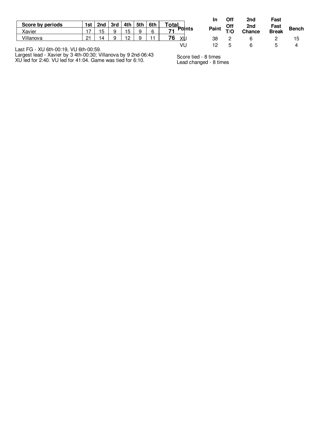| Xavier<br>6<br>Ð<br>∽<br>O-1 | Score by periods | 1st | 2nd $\sqrt{3}$ rd     | 4th | 5th | 6th | Total |
|------------------------------|------------------|-----|-----------------------|-----|-----|-----|-------|
|                              |                  |     |                       |     |     |     | তints |
|                              | Villanova        |     | $\boldsymbol{\Delta}$ |     |     |     | XL    |

Last FG - XU 6th-00:19, VU 6th-00:59.

Largest lead - Xavier by 3 4th-00:30; Villanova by 9 2nd-06:43 XU led for 2:40. VU led for 41:04. Game was tied for 6:10.

|                | In | Off | 2nd                         | Fast          |              |
|----------------|----|-----|-----------------------------|---------------|--------------|
| <b>'</b> তাnts |    |     | Paint Off 2nd<br>T/O Chance | Fast<br>Break | <b>Bench</b> |
| хU             | 38 |     | 6                           |               | 15           |
| VU             | 12 | 5   | 6                           | 5             |              |

Score tied - 8 times Lead changed - 8 times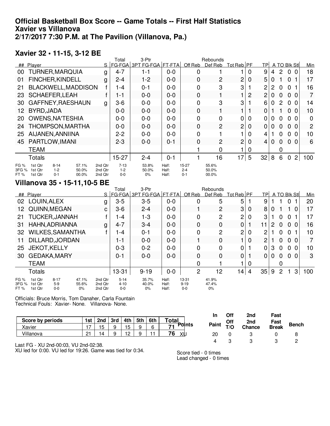#### **Official Basketball Box Score -- Game Totals -- First Half Statistics Xavier vs Villanova 2/17/2017 7:30 P.M. at The Pavilion (Villanova, Pa.)**

#### **Xavier 32 • 11-15, 3-12 BE**

|                       |                                                                                          |                               | Total                      | 3-Ptr                    |                         |                             | Rebounds                |                 |   |                 |   |                |                 |                |     |
|-----------------------|------------------------------------------------------------------------------------------|-------------------------------|----------------------------|--------------------------|-------------------------|-----------------------------|-------------------------|-----------------|---|-----------------|---|----------------|-----------------|----------------|-----|
| ##                    | Player                                                                                   | S                             |                            | FG-FGA 3PT FG-FGA FT-FTA |                         | Off Reb                     | Def Reb                 | Tot Reb PF      |   | TP              |   |                | A TO Blk Stl    |                | Min |
| 00                    | <b>TURNER, MARQUIA</b>                                                                   | g                             | $4 - 7$                    | 1-1                      | $0 - 0$                 | 0                           |                         |                 | 0 | 9               | 4 | $\overline{2}$ | $\Omega$<br>- 0 |                | 18  |
| 01                    | <b>FINCHER, KINDELL</b>                                                                  | g                             | $2 - 4$                    | $1 - 2$                  | $0 - 0$                 | 0                           | $\overline{c}$          | 2               | 0 | 5               | 0 |                | $\Omega$        |                | 17  |
| 21                    | BLACKWELL, MADDISON                                                                      |                               | 1-4                        | $0 - 1$                  | $0 - 0$                 | 0                           | 3                       | 3               |   | 2               | 2 | 0              | 0               |                | 16  |
| 23                    | <b>SCHAEFER, LEAH</b>                                                                    |                               | 1-1                        | $0 - 0$                  | $0 - 0$                 | 0                           |                         |                 | 2 | 2               | 0 | 0              | 0               | $\Omega$       | 7   |
| 30                    | GAFFNEY, RAESHAUN                                                                        | g                             | $3-6$                      | $0-0$                    | $0 - 0$                 | 0                           | 3                       | 3               |   | 6               | 0 | $\overline{2}$ | 0 <sub>0</sub>  |                | 14  |
| 12.                   | BYRD, JADA                                                                               |                               | $0 - 0$                    | $0 - 0$                  | $0 - 0$                 | 0                           |                         |                 |   | 0               |   |                | 0<br>- 0        |                | 10  |
| 20                    | <b>OWENS, NA'TESHIA</b>                                                                  |                               | $0-0$                      | $0-0$                    | $0 - 0$                 | 0                           | 0                       | 0               | 0 | 0               | 0 | 0              | 0<br>- 0        |                | 0   |
| 24                    | THOMPSON, MARTHA                                                                         |                               | $0 - 0$                    | $0-0$                    | $0 - 0$                 | 0                           | $\overline{2}$          | 2               | 0 | 0               | 0 | $\Omega$       | 0               | $\Omega$       | 2   |
| 25                    | AIJANEN, ANNIINA                                                                         |                               | $2 - 2$                    | $0-0$                    | $0 - 0$                 | 0                           |                         |                 | 0 | 4               |   | 0              | 0               | $\Omega$       | 10  |
| 45                    | PARTLOW, IMANI                                                                           |                               | $2 - 3$                    | $0 - 0$                  | $0 - 1$                 | 0                           | $\overline{2}$          | $\overline{c}$  | 0 | 4               | 0 | $\Omega$       | $\Omega$<br>- 0 |                | 6   |
|                       | <b>TEAM</b>                                                                              |                               |                            |                          |                         |                             | 0                       |                 | 0 |                 |   | 0              |                 |                |     |
|                       | <b>Totals</b>                                                                            |                               | $15 - 27$                  | $2 - 4$                  | $0 - 1$                 |                             | 16                      | 17 <sub>1</sub> | 5 | 32 <sub>1</sub> | 8 | 6              | 0               | $\overline{2}$ | 100 |
| FG %<br>3FG %<br>FT % | $8 - 14$<br>57.1%<br>1st Qtr<br>$1-2$<br>1st Qtr<br>50.0%<br>1st Otr<br>$0 - 1$<br>00.0% | 2nd Otr<br>2nd Otr<br>2nd Qtr | $7-13$<br>$1-2$<br>$0 - 0$ | 53.8%<br>50.0%<br>0%     | Half:<br>Half:<br>Half: | 15-27<br>$2 - 4$<br>$0 - 1$ | 55.6%<br>50.0%<br>00.0% |                 |   |                 |   |                |                 |                |     |

#### **Villanova 35 • 15-11,10-5 BE**

|                         |                               |                            |                         |                               | Total                           | 3-Ptr                            |                         |                                  | Rebounds                |                 |   |                |   |                |                |     |     |
|-------------------------|-------------------------------|----------------------------|-------------------------|-------------------------------|---------------------------------|----------------------------------|-------------------------|----------------------------------|-------------------------|-----------------|---|----------------|---|----------------|----------------|-----|-----|
|                         | ## Player                     |                            |                         |                               |                                 | S   FG-FGA   3PT FG-FGA   FT-FTA |                         | Off Reb                          | Def Reb                 | Tot Reb PF      |   | <b>TP</b>      |   |                | A TO Blk Stl   |     | Min |
| 02                      | LOUIN, ALEX                   |                            |                         | g                             | $3-5$                           | $3 - 5$                          | $0-0$                   | 0                                | 5                       | 5               |   | 9              |   |                | 0              |     | 20  |
| 12.                     | QUINN, MEGAN                  |                            |                         | C                             | $3-6$                           | $2 - 4$                          | $0 - 0$                 |                                  | 2                       | 3               | 0 | 8              | 0 |                |                | 0   | 17  |
| 21                      | <b>TUCKER, JANNAH</b>         |                            |                         |                               | $-4$                            | $1 - 3$                          | $0 - 0$                 | 0                                | 2                       | 2               | 0 | 3              |   | 0              | $\mathbf{0}$   |     | 17  |
| 31                      | HAHN, ADRIANNA                |                            |                         | g                             | $4 - 7$                         | $3 - 4$                          | $0 - 0$                 | 0                                | 0                       | 0               |   | 11             | 2 | 0              | 0              | -0  | 16  |
| 32                      | <b>WILKES, SAMANTHA</b>       |                            |                         |                               | l -4                            | $0 - 1$                          | $0 - 0$                 | 0                                | 2                       | 2               | 0 | 2              |   | 0              | $\mathbf{0}$   |     | 10  |
| 11                      | DILLARD, JORDAN               |                            |                         |                               | 1 - 1                           | $0-0$                            | $0 - 0$                 |                                  | 0                       |                 | 0 | $\overline{c}$ |   | 0              | $\Omega$       | - 0 | 7   |
| 25                      | <b>JEKOT, KELLY</b>           |                            |                         |                               | $0 - 3$                         | $0 - 2$                          | $0-0$                   | 0                                | 0                       | 0               |   | 0              | 3 | $\mathbf{0}$   | 0 <sub>0</sub> |     | 10  |
| 30                      | <b>GEDAKA, MARY</b>           |                            |                         |                               | 0-1                             | $0-0$                            | $0 - 0$                 | 0                                | 0                       | 0               |   | 0              | 0 | $\mathbf 0$    | 0 <sub>0</sub> |     | 3   |
|                         | <b>TEAM</b>                   |                            |                         |                               |                                 |                                  |                         | $\Omega$                         |                         |                 | 0 |                |   | 0              |                |     |     |
|                         | <b>Totals</b>                 |                            |                         |                               | 13-31                           | $9 - 19$                         | $0-0$                   | $\overline{2}$                   | 12                      | 14 <sub>1</sub> | 4 | 35             | 9 | $\overline{2}$ |                | 3   | 100 |
| FG %<br>3FG %<br>FT $%$ | 1st Qtr<br>1st Qtr<br>1st Otr | $8 - 17$<br>$5-9$<br>$0-0$ | 47.1%<br>55.6%<br>$0\%$ | 2nd Qtr<br>2nd Otr<br>2nd Otr | $5 - 14$<br>$4 - 10$<br>$0 - 0$ | 35.7%<br>40.0%<br>$0\%$          | Half:<br>Half:<br>Half: | $13 - 31$<br>$9 - 19$<br>$0 - 0$ | 41.9%<br>47.4%<br>$0\%$ |                 |   |                |   |                |                |     |     |

Officials: Bruce Morris, Tom Danaher, Carla Fountain Technical Fouls: Xavier- None. Villanova- None.

|                  |     |     |     |     |     |     |              | In    | Off | 2nd    | Fast         |              |
|------------------|-----|-----|-----|-----|-----|-----|--------------|-------|-----|--------|--------------|--------------|
| Score by periods | 1st | 2nd | 3rd | 4th | 5th | 6th | <b>Total</b> |       | Off | 2nd    | Fast         |              |
| Xavier           | . – | 15  |     | 15  | a   | 6   | Points<br>74 | Paint | T/O | Chance | <b>Break</b> | <b>Bench</b> |
| Villanova        | 21  | ۱⊿  |     | 10  |     | . . | 76<br>XU     | 20    |     |        |              | ō            |
| $ -$             |     |     |     |     |     |     |              |       |     |        |              |              |

Last FG - XU 2nd-00:03, VU 2nd-02:38.

XU led for 0:00. VU led for 19:26. Game was tied for 0:34.

Score tied - 0 times Lead changed - 0 times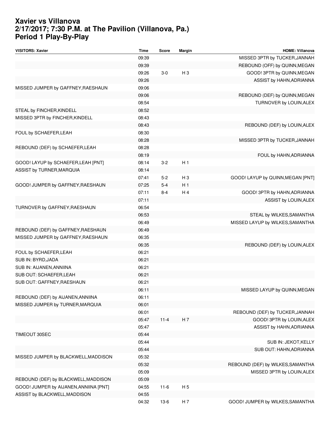#### **Xavier vs Villanova 2/17/2017; 7:30 P.M. at The Pavilion (Villanova, Pa.) Period 1 Play-By-Play**

| <b>VISITORS: Xavier</b>                | <b>Time</b> | <b>Score</b> | Margin         | <b>HOME: Villanova</b>            |
|----------------------------------------|-------------|--------------|----------------|-----------------------------------|
|                                        | 09:39       |              |                | MISSED 3PTR by TUCKER, JANNAH     |
|                                        | 09:39       |              |                | REBOUND (OFF) by QUINN, MEGAN     |
|                                        | 09:26       | $3-0$        | H <sub>3</sub> | GOOD! 3PTR by QUINN, MEGAN        |
|                                        | 09:26       |              |                | ASSIST by HAHN, ADRIANNA          |
| MISSED JUMPER by GAFFNEY, RAESHAUN     | 09:06       |              |                |                                   |
|                                        | 09:06       |              |                | REBOUND (DEF) by QUINN, MEGAN     |
|                                        | 08:54       |              |                | TURNOVER by LOUIN, ALEX           |
| STEAL by FINCHER, KINDELL              | 08:52       |              |                |                                   |
| MISSED 3PTR by FINCHER, KINDELL        | 08:43       |              |                |                                   |
|                                        | 08:43       |              |                | REBOUND (DEF) by LOUIN, ALEX      |
| FOUL by SCHAEFER, LEAH                 | 08:30       |              |                |                                   |
|                                        | 08:28       |              |                | MISSED 3PTR by TUCKER, JANNAH     |
| REBOUND (DEF) by SCHAEFER, LEAH        | 08:28       |              |                |                                   |
|                                        | 08:19       |              |                | FOUL by HAHN, ADRIANNA            |
| GOOD! LAYUP by SCHAEFER, LEAH [PNT]    | 08:14       | $3-2$        | H <sub>1</sub> |                                   |
| ASSIST by TURNER, MARQUIA              | 08:14       |              |                |                                   |
|                                        | 07:41       | $5-2$        | $H_3$          | GOOD! LAYUP by QUINN, MEGAN [PNT] |
| GOOD! JUMPER by GAFFNEY, RAESHAUN      | 07:25       | $5 - 4$      | H <sub>1</sub> |                                   |
|                                        | 07:11       | $8 - 4$      | H 4            | GOOD! 3PTR by HAHN, ADRIANNA      |
|                                        | 07:11       |              |                | ASSIST by LOUIN, ALEX             |
| TURNOVER by GAFFNEY, RAESHAUN          | 06:54       |              |                |                                   |
|                                        | 06:53       |              |                | STEAL by WILKES, SAMANTHA         |
|                                        | 06:49       |              |                | MISSED LAYUP by WILKES, SAMANTHA  |
| REBOUND (DEF) by GAFFNEY, RAESHAUN     | 06:49       |              |                |                                   |
| MISSED JUMPER by GAFFNEY, RAESHAUN     | 06:35       |              |                |                                   |
|                                        | 06:35       |              |                | REBOUND (DEF) by LOUIN, ALEX      |
| FOUL by SCHAEFER, LEAH                 | 06:21       |              |                |                                   |
| SUB IN: BYRD, JADA                     | 06:21       |              |                |                                   |
| SUB IN: AIJANEN, ANNIINA               | 06:21       |              |                |                                   |
| SUB OUT: SCHAEFER, LEAH                | 06:21       |              |                |                                   |
| SUB OUT: GAFFNEY, RAESHAUN             | 06:21       |              |                |                                   |
|                                        | 06:11       |              |                | MISSED LAYUP by QUINN, MEGAN      |
| REBOUND (DEF) by AIJANEN, ANNIINA      | 06:11       |              |                |                                   |
| MISSED JUMPER by TURNER, MARQUIA       | 06:01       |              |                |                                   |
|                                        | 06:01       |              |                | REBOUND (DEF) by TUCKER, JANNAH   |
|                                        | 05:47       | $11 - 4$     | H 7            | GOOD! 3PTR by LOUIN, ALEX         |
|                                        | 05:47       |              |                | ASSIST by HAHN, ADRIANNA          |
| TIMEOUT 30SEC                          | 05:44       |              |                |                                   |
|                                        | 05:44       |              |                | SUB IN: JEKOT, KELLY              |
|                                        | 05:44       |              |                | SUB OUT: HAHN, ADRIANNA           |
| MISSED JUMPER by BLACKWELL, MADDISON   | 05:32       |              |                |                                   |
|                                        | 05:32       |              |                | REBOUND (DEF) by WILKES, SAMANTHA |
|                                        | 05:09       |              |                | MISSED 3PTR by LOUIN, ALEX        |
| REBOUND (DEF) by BLACKWELL, MADDISON   | 05:09       |              |                |                                   |
| GOOD! JUMPER by AIJANEN, ANNIINA [PNT] | 04:55       | $11 - 6$     | H <sub>5</sub> |                                   |
| ASSIST by BLACKWELL, MADDISON          | 04:55       |              |                |                                   |
|                                        | 04:32       | $13-6$       | H <sub>7</sub> | GOOD! JUMPER by WILKES, SAMANTHA  |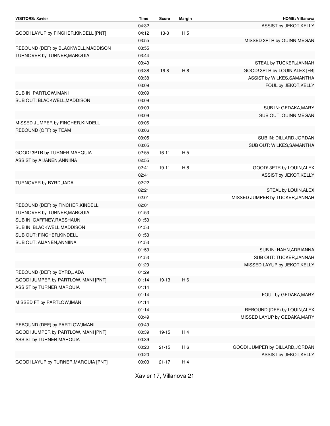| <b>VISITORS: Xavier</b>               | <b>Time</b>    | <b>Score</b> | <b>Margin</b>  | <b>HOME: Villanova</b>          |
|---------------------------------------|----------------|--------------|----------------|---------------------------------|
|                                       | 04:32          |              |                | ASSIST by JEKOT, KELLY          |
| GOOD! LAYUP by FINCHER, KINDELL [PNT] | 04:12          | $13-8$       | H <sub>5</sub> |                                 |
|                                       | 03:55          |              |                | MISSED 3PTR by QUINN, MEGAN     |
| REBOUND (DEF) by BLACKWELL, MADDISON  | 03:55          |              |                |                                 |
| TURNOVER by TURNER, MARQUIA           | 03:44          |              |                |                                 |
|                                       | 03:43          |              |                | STEAL by TUCKER, JANNAH         |
|                                       | 03:38          | $16 - 8$     | H <sub>8</sub> | GOOD! 3PTR by LOUIN, ALEX [FB]  |
|                                       | 03:38          |              |                | ASSIST by WILKES, SAMANTHA      |
|                                       | 03:09          |              |                | FOUL by JEKOT, KELLY            |
| SUB IN: PARTLOW, IMANI                | 03:09          |              |                |                                 |
| SUB OUT: BLACKWELL, MADDISON          | 03:09          |              |                |                                 |
|                                       | 03:09          |              |                | SUB IN: GEDAKA, MARY            |
|                                       | 03:09          |              |                | SUB OUT: QUINN, MEGAN           |
| MISSED JUMPER by FINCHER, KINDELL     | 03:06          |              |                |                                 |
| REBOUND (OFF) by TEAM                 | 03:06          |              |                |                                 |
|                                       | 03:05          |              |                | SUB IN: DILLARD, JORDAN         |
|                                       | 03:05          |              |                | SUB OUT: WILKES, SAMANTHA       |
| GOOD! 3PTR by TURNER, MARQUIA         | 02:55          | $16 - 11$    | H <sub>5</sub> |                                 |
| ASSIST by AIJANEN, ANNIINA            | 02:55          |              |                |                                 |
|                                       | 02:41          | $19 - 11$    | H <sub>8</sub> | GOOD! 3PTR by LOUIN, ALEX       |
|                                       | 02:41          |              |                | ASSIST by JEKOT, KELLY          |
| TURNOVER by BYRD, JADA                | 02:22          |              |                |                                 |
|                                       | 02:21          |              |                | STEAL by LOUIN, ALEX            |
|                                       | 02:01          |              |                | MISSED JUMPER by TUCKER, JANNAH |
| REBOUND (DEF) by FINCHER, KINDELL     | 02:01          |              |                |                                 |
| TURNOVER by TURNER, MARQUIA           | 01:53          |              |                |                                 |
| SUB IN: GAFFNEY, RAESHAUN             | 01:53          |              |                |                                 |
| SUB IN: BLACKWELL, MADDISON           | 01:53          |              |                |                                 |
| SUB OUT: FINCHER, KINDELL             | 01:53          |              |                |                                 |
| SUB OUT: AIJANEN, ANNIINA             | 01:53          |              |                |                                 |
|                                       | 01:53          |              |                | SUB IN: HAHN, ADRIANNA          |
|                                       | 01:53          |              |                | SUB OUT: TUCKER, JANNAH         |
|                                       | 01:29          |              |                | MISSED LAYUP by JEKOT, KELLY    |
| REBOUND (DEF) by BYRD, JADA           | 01:29          |              |                |                                 |
| GOOD! JUMPER by PARTLOW, IMANI [PNT]  | 01:14          | 19-13        | H <sub>6</sub> |                                 |
| ASSIST by TURNER, MARQUIA             | 01:14          |              |                |                                 |
|                                       | 01:14          |              |                | FOUL by GEDAKA, MARY            |
| MISSED FT by PARTLOW, IMANI           | 01:14          |              |                |                                 |
|                                       | 01:14          |              |                | REBOUND (DEF) by LOUIN, ALEX    |
|                                       | 00:49          |              |                | MISSED LAYUP by GEDAKA, MARY    |
| REBOUND (DEF) by PARTLOW, IMANI       | 00:49          |              |                |                                 |
| GOOD! JUMPER by PARTLOW, IMANI [PNT]  | 00:39          |              | H 4            |                                 |
|                                       |                | 19-15        |                |                                 |
| ASSIST by TURNER, MARQUIA             | 00:39<br>00:20 |              |                |                                 |
|                                       |                | $21 - 15$    | H <sub>6</sub> | GOOD! JUMPER by DILLARD, JORDAN |
|                                       | 00:20          |              |                | ASSIST by JEKOT, KELLY          |
| GOOD! LAYUP by TURNER, MARQUIA [PNT]  | 00:03          | $21 - 17$    | H 4            |                                 |

Xavier 17, Villanova 21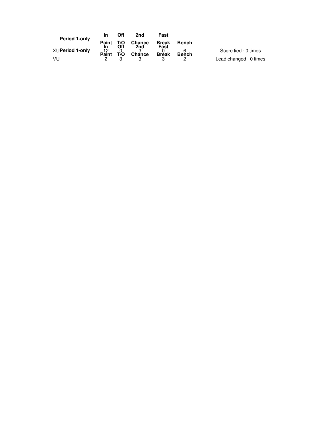| Period 1-only          | In                        | Off        | 2nd                  | Fast                 |              |                        |
|------------------------|---------------------------|------------|----------------------|----------------------|--------------|------------------------|
|                        | Paint                     | T/O<br>Off | <b>Chance</b><br>2nd | <b>Break</b><br>Fast | <b>Bench</b> |                        |
| <b>XUPeriod 1-only</b> | In<br>$P^{\overline{12}}$ | Tİ̃O       | Chance               | <b>Break</b>         | <b>Bench</b> | Score tied - 0 times   |
| VU                     |                           |            |                      |                      |              | Lead changed - 0 times |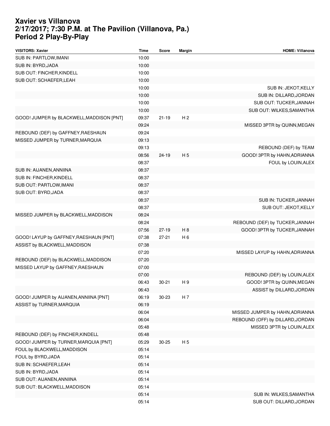#### **Xavier vs Villanova 2/17/2017; 7:30 P.M. at The Pavilion (Villanova, Pa.) Period 2 Play-By-Play**

| <b>VISITORS: Xavier</b>                   | <b>Time</b> | Score     | Margin         | <b>HOME: Villanova</b>           |
|-------------------------------------------|-------------|-----------|----------------|----------------------------------|
| SUB IN: PARTLOW, IMANI                    | 10:00       |           |                |                                  |
| SUB IN: BYRD, JADA                        | 10:00       |           |                |                                  |
| SUB OUT: FINCHER, KINDELL                 | 10:00       |           |                |                                  |
| SUB OUT: SCHAEFER, LEAH                   | 10:00       |           |                |                                  |
|                                           | 10:00       |           |                | SUB IN: JEKOT, KELLY             |
|                                           | 10:00       |           |                | SUB IN: DILLARD, JORDAN          |
|                                           | 10:00       |           |                | SUB OUT: TUCKER, JANNAH          |
|                                           | 10:00       |           |                | SUB OUT: WILKES, SAMANTHA        |
| GOOD! JUMPER by BLACKWELL, MADDISON [PNT] | 09:37       | $21 - 19$ | H <sub>2</sub> |                                  |
|                                           | 09:24       |           |                | MISSED 3PTR by QUINN, MEGAN      |
| REBOUND (DEF) by GAFFNEY, RAESHAUN        | 09:24       |           |                |                                  |
| MISSED JUMPER by TURNER, MARQUIA          | 09:13       |           |                |                                  |
|                                           | 09:13       |           |                | REBOUND (DEF) by TEAM            |
|                                           | 08:56       | $24 - 19$ | H <sub>5</sub> | GOOD! 3PTR by HAHN, ADRIANNA     |
|                                           | 08:37       |           |                | FOUL by LOUIN, ALEX              |
| SUB IN: AIJANEN, ANNIINA                  | 08:37       |           |                |                                  |
| SUB IN: FINCHER, KINDELL                  | 08:37       |           |                |                                  |
| SUB OUT: PARTLOW, IMANI                   | 08:37       |           |                |                                  |
| SUB OUT: BYRD, JADA                       | 08:37       |           |                |                                  |
|                                           | 08:37       |           |                | SUB IN: TUCKER, JANNAH           |
|                                           | 08:37       |           |                | SUB OUT: JEKOT, KELLY            |
| MISSED JUMPER by BLACKWELL, MADDISON      | 08:24       |           |                |                                  |
|                                           | 08:24       |           |                | REBOUND (DEF) by TUCKER, JANNAH  |
|                                           | 07:56       | $27-19$   | $H_8$          | GOOD! 3PTR by TUCKER, JANNAH     |
| GOOD! LAYUP by GAFFNEY, RAESHAUN [PNT]    | 07:38       | $27 - 21$ | H <sub>6</sub> |                                  |
| ASSIST by BLACKWELL, MADDISON             | 07:38       |           |                |                                  |
|                                           | 07:20       |           |                | MISSED LAYUP by HAHN, ADRIANNA   |
| REBOUND (DEF) by BLACKWELL, MADDISON      | 07:20       |           |                |                                  |
| MISSED LAYUP by GAFFNEY, RAESHAUN         | 07:00       |           |                |                                  |
|                                           | 07:00       |           |                | REBOUND (DEF) by LOUIN, ALEX     |
|                                           | 06:43       | $30 - 21$ | H <sub>9</sub> | GOOD! 3PTR by QUINN, MEGAN       |
|                                           | 06:43       |           |                | ASSIST by DILLARD, JORDAN        |
| GOOD! JUMPER by AIJANEN, ANNIINA [PNT]    | 06:19       | $30 - 23$ | H 7            |                                  |
| ASSIST by TURNER, MARQUIA                 | 06:19       |           |                |                                  |
|                                           | 06:04       |           |                | MISSED JUMPER by HAHN, ADRIANNA  |
|                                           | 06:04       |           |                | REBOUND (OFF) by DILLARD, JORDAN |
|                                           | 05:48       |           |                | MISSED 3PTR by LOUIN, ALEX       |
| REBOUND (DEF) by FINCHER, KINDELL         | 05:48       |           |                |                                  |
| GOOD! JUMPER by TURNER, MARQUIA [PNT]     | 05:29       | $30 - 25$ | H <sub>5</sub> |                                  |
| FOUL by BLACKWELL, MADDISON               | 05:14       |           |                |                                  |
| FOUL by BYRD, JADA                        | 05:14       |           |                |                                  |
| SUB IN: SCHAEFER, LEAH                    | 05:14       |           |                |                                  |
| SUB IN: BYRD, JADA                        | 05:14       |           |                |                                  |
| SUB OUT: AIJANEN, ANNIINA                 | 05:14       |           |                |                                  |
| SUB OUT: BLACKWELL, MADDISON              | 05:14       |           |                |                                  |
|                                           | 05:14       |           |                | SUB IN: WILKES, SAMANTHA         |
|                                           | 05:14       |           |                | SUB OUT: DILLARD, JORDAN         |
|                                           |             |           |                |                                  |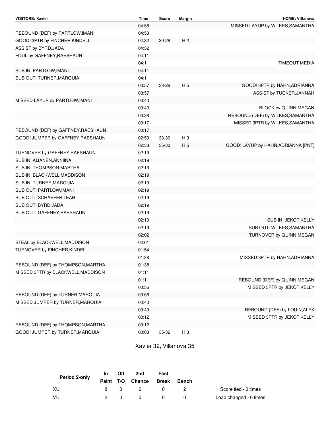| VISITORS: Xavier                   | <b>Time</b> | Score     | <b>Margin</b>  | <b>HOME: Villanova</b>              |
|------------------------------------|-------------|-----------|----------------|-------------------------------------|
|                                    | 04:58       |           |                | MISSED LAYUP by WILKES, SAMANTHA    |
| REBOUND (DEF) by PARTLOW, IMANI    | 04:58       |           |                |                                     |
| GOOD! 3PTR by FINCHER, KINDELL     | 04:32       | $30 - 28$ | H <sub>2</sub> |                                     |
| ASSIST by BYRD, JADA               | 04:32       |           |                |                                     |
| FOUL by GAFFNEY, RAESHAUN          | 04:11       |           |                |                                     |
|                                    | 04:11       |           |                | <b>TIMEOUT MEDIA</b>                |
| SUB IN: PARTLOW, IMANI             | 04:11       |           |                |                                     |
| SUB OUT: TURNER, MARQUIA           | 04:11       |           |                |                                     |
|                                    | 03:57       | 33-28     | H <sub>5</sub> | GOOD! 3PTR by HAHN, ADRIANNA        |
|                                    | 03:57       |           |                | ASSIST by TUCKER, JANNAH            |
| MISSED LAYUP by PARTLOW, IMANI     | 03:40       |           |                |                                     |
|                                    | 03:40       |           |                | BLOCK by QUINN, MEGAN               |
|                                    | 03:38       |           |                | REBOUND (DEF) by WILKES, SAMANTHA   |
|                                    | 03:17       |           |                | MISSED 3PTR by WILKES, SAMANTHA     |
| REBOUND (DEF) by GAFFNEY, RAESHAUN | 03:17       |           |                |                                     |
| GOOD! JUMPER by GAFFNEY, RAESHAUN  | 02:59       | 33-30     | $H_3$          |                                     |
|                                    | 02:38       | 35-30     | H <sub>5</sub> | GOOD! LAYUP by HAHN, ADRIANNA [PNT] |
| TURNOVER by GAFFNEY, RAESHAUN      | 02:19       |           |                |                                     |
| SUB IN: AIJANEN, ANNIINA           | 02:19       |           |                |                                     |
| SUB IN: THOMPSON, MARTHA           | 02:19       |           |                |                                     |
| SUB IN: BLACKWELL, MADDISON        | 02:19       |           |                |                                     |
| SUB IN: TURNER, MARQUIA            | 02:19       |           |                |                                     |
| SUB OUT: PARTLOW, IMANI            | 02:19       |           |                |                                     |
| SUB OUT: SCHAEFER, LEAH            | 02:19       |           |                |                                     |
| SUB OUT: BYRD, JADA                | 02:19       |           |                |                                     |
| SUB OUT: GAFFNEY, RAESHAUN         | 02:19       |           |                |                                     |
|                                    | 02:19       |           |                | SUB IN: JEKOT, KELLY                |
|                                    | 02:19       |           |                | SUB OUT: WILKES, SAMANTHA           |
|                                    | 02:02       |           |                | TURNOVER by QUINN, MEGAN            |
| STEAL by BLACKWELL, MADDISON       | 02:01       |           |                |                                     |
| TURNOVER by FINCHER, KINDELL       | 01:54       |           |                |                                     |
|                                    | 01:38       |           |                | MISSED 3PTR by HAHN, ADRIANNA       |
| REBOUND (DEF) by THOMPSON, MARTHA  | 01:38       |           |                |                                     |
| MISSED 3PTR by BLACKWELL, MADDISON | 01:11       |           |                |                                     |
|                                    | 01:11       |           |                | REBOUND (DEF) by QUINN, MEGAN       |
|                                    | 00:56       |           |                | MISSED 3PTR by JEKOT, KELLY         |
| REBOUND (DEF) by TURNER, MARQUIA   | 00:56       |           |                |                                     |
| MISSED JUMPER by TURNER, MARQUIA   | 00:40       |           |                |                                     |
|                                    | 00:40       |           |                | REBOUND (DEF) by LOUIN, ALEX        |
|                                    | 00:12       |           |                | MISSED 3PTR by JEKOT, KELLY         |
| REBOUND (DEF) by THOMPSON, MARTHA  | 00:12       |           |                |                                     |
| GOOD! JUMPER by TURNER, MARQUIA    | 00:03       | 35-32     | H <sub>3</sub> |                                     |

Xavier 32, Villanova 35

| Period 2-only | In. | Off | 2nd                    | Fast |       |                        |
|---------------|-----|-----|------------------------|------|-------|------------------------|
|               |     |     | Paint T/O Chance Break |      | Bench |                        |
| - XU          | 8.  | - 0 | $\overline{0}$         |      |       | Score tied - 0 times   |
| - VU          |     |     |                        |      |       | Lead changed - 0 times |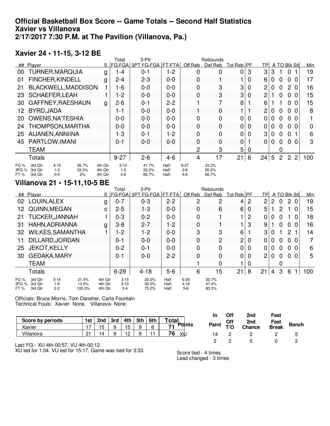#### **Official Basketball Box Score -- Game Totals -- Second Half Statistics Xavier vs Villanova 2/17/2017 7:30 P.M. at The Pavilion (Villanova, Pa.)**

#### **Xavier 24 • 11-15, 3-12 BE**

|                       |                                                                 |                                                       |   | Total                        | 3-Ptr                           |                            |                              | Rebounds                |                |   |    |             |                |                |                |     |
|-----------------------|-----------------------------------------------------------------|-------------------------------------------------------|---|------------------------------|---------------------------------|----------------------------|------------------------------|-------------------------|----------------|---|----|-------------|----------------|----------------|----------------|-----|
| ##                    | Player                                                          |                                                       | S |                              | <b>FG-FGA 3PT FG-FGA FT-FTA</b> |                            | Off Reb                      | Def Reb                 | Tot Reb PF     |   | TP |             | A TO Blk Stl   |                |                | Min |
| 00                    | <b>TURNER, MARQUIA</b>                                          |                                                       | g | 1-4                          | $0 - 1$                         | $1 - 2$                    | 0                            | 0                       | 0              | 3 | 3  | 3           |                | $\Omega$       |                | 19  |
| 01                    | FINCHER, KINDELL                                                |                                                       | g | $2 - 4$                      | $2 - 3$                         | $0 - 0$                    | 0                            |                         |                | 0 | 6  | 0           | 0              | 0              | -0             | 17  |
| 21                    | BLACKWELL, MADDISON                                             |                                                       |   | 1-6                          | $0-0$                           | $0 - 0$                    | 0                            | 3                       | 3              | 0 | 2  | 0           | $\Omega$       | 2 0            |                | 16  |
| 23                    | <b>SCHAEFER, LEAH</b>                                           |                                                       | f | 1-2                          | $0 - 0$                         | $0 - 0$                    | 0                            | 3                       | 3              | 0 | 2  |             | 0              | 0              | $\Omega$       | 15  |
| 30                    | GAFFNEY, RAESHAUN                                               |                                                       | g | $2 - 6$                      | $0 - 1$                         | $2 - 2$                    |                              |                         | 8              |   | 6  |             |                | 0              | 0              | 15  |
| 12.                   | BYRD, JADA                                                      |                                                       |   | 1-1                          | $0 - 0$                         | $0 - 0$                    |                              | $\mathbf 0$             |                |   | 2  | 0           | $\Omega$       | $\Omega$       | $\Omega$       | 8   |
| <b>20</b>             | <b>OWENS, NA'TESHIA</b>                                         |                                                       |   | $0 - 0$                      | $0 - 0$                         | $0 - 0$                    | 0                            | 0                       | 0              | 0 | 0  | 0           | 0              | 0 <sub>0</sub> |                |     |
| 24                    | THOMPSON, MARTHA                                                |                                                       |   | $0 - 0$                      | $0 - 0$                         | $0 - 0$                    | 0                            | $\Omega$                | $\overline{0}$ | 0 | 0  | 0           | $\Omega$       | 0              | - 0            | 0   |
| 25                    | AIJANEN, ANNIINA                                                |                                                       |   | 1-3                          | $0 - 1$                         | 1-2                        | 0                            | 0                       | 0              | 0 | 3  | 0           | 0              | 0              |                | 6   |
| 45                    | PARTLOW, IMANI                                                  |                                                       |   | $0 - 1$                      | $0 - 0$                         | $0 - 0$                    | $\Omega$                     | $\Omega$                | $\mathbf 0$    |   | 0  | 0           | $\mathbf 0$    | $\mathbf{0}$   | $\Omega$       | 3   |
|                       | <b>TEAM</b>                                                     |                                                       |   |                              |                                 |                            | 2                            | 3                       | 5              | 0 |    |             | 0              |                |                |     |
|                       | Totals                                                          |                                                       |   | $9 - 27$                     | $2 - 6$                         | $4 - 6$                    | 4                            | 17                      | 21             | 6 | 24 | $5^{\circ}$ | $\overline{2}$ | $\overline{2}$ | $\overline{2}$ | 100 |
| FG %<br>3FG %<br>FT % | $4 - 15$<br>3rd Otr<br>3rd Otr<br>$1 - 3$<br>3rd Otr<br>$0 - 0$ | 26.7%<br>4th Otr<br>33.3%<br>4th Otr<br>4th Otr<br>0% |   | $5 - 12$<br>$1 - 3$<br>$4-6$ | 41.7%<br>33.3%<br>66.7%         | Half:<br>$H$ alf:<br>Half: | $9 - 27$<br>$2 - 6$<br>$4-6$ | 33.3%<br>50.0%<br>66.7% |                |   |    |             |                |                |                |     |

#### **Villanova 21 • 15-11,10-5 BE**

|                         |                               |                            |                          |                               | Total                           | 3-Ptr                      |                         |                               | Rebounds                |                   |   |                |   |                       |                       |     |                 |
|-------------------------|-------------------------------|----------------------------|--------------------------|-------------------------------|---------------------------------|----------------------------|-------------------------|-------------------------------|-------------------------|-------------------|---|----------------|---|-----------------------|-----------------------|-----|-----------------|
|                         | ## Player                     |                            |                          |                               |                                 | S FG-FGA 3PT FG-FGA FT-FTA |                         | Off Reb                       | Def Reb                 | Tot Reb <b>PF</b> |   | TPI            |   |                       | A TO Blk Stl          |     | Min             |
| 02                      | LOUIN, ALEX                   |                            |                          | g                             | $0 - 7$                         | $0 - 3$                    | $2 - 2$                 | 2                             | 2                       | 4                 | 2 | 2              | 2 | 0                     | $\mathbf{2}^{\prime}$ | - 0 | 19              |
| 12.                     |                               | QUINN, MEGAN               |                          | C                             | $2 - 5$                         | $1 - 3$                    | $0 - 0$                 | 0                             | 6                       | 6                 | 0 | 5              |   | $\mathbf{2}^{\prime}$ |                       | - 0 | 15 <sub>1</sub> |
| 21                      |                               | <b>TUCKER, JANNAH</b>      |                          |                               | $0 - 3$                         | $0 - 2$                    | $0-0$                   | 0                             |                         |                   | 2 | 0              | 0 | 0                     |                       | -0  | 18              |
| 31                      |                               | HAHN, ADRIANNA             |                          | g                             | $3 - 8$                         | $2 - 7$                    | 1-2                     | 0                             |                         |                   | 3 | 9              |   | 0                     | 0                     | -0  | 16              |
| 32                      |                               | <b>WILKES, SAMANTHA</b>    |                          |                               | 1-2                             | $1 - 2$                    | $0-0$                   | 3                             | 3                       | 6                 |   | 3              | 0 |                       | 2                     |     | 14              |
| 11                      |                               | DILLARD, JORDAN            |                          |                               | $0 - 1$                         | $0-0$                      | $0 - 0$                 | 0                             | $\overline{2}$          | $\overline{c}$    | 0 | 0              | 0 | $\mathbf{0}$          | $\mathbf{0}$          | - 0 | 7               |
| 25                      | <b>JEKOT, KELLY</b>           |                            |                          |                               | $0 - 2$                         | $0 - 1$                    | $0-0$                   | 0                             | 0                       | 0                 | 0 | 0              | 0 | 0                     | 0 <sub>0</sub>        |     | 6               |
| 30                      |                               | <b>GEDAKA, MARY</b>        |                          |                               | 0-1                             | $0 - 0$                    | $2 - 2$                 | 0                             | 0                       | 0                 | 0 | $\overline{2}$ | 0 | $\mathbf 0$           | $\Omega$              | - 0 | 5               |
|                         | <b>TEAM</b>                   |                            |                          |                               |                                 |                            |                         |                               | 0                       |                   | 0 |                |   | 0                     |                       |     |                 |
|                         | <b>Totals</b>                 |                            |                          |                               | $6 - 29$                        | $4 - 18$                   | $5-6$                   | 6                             | 15                      | 21 <sub>1</sub>   | 8 | 21             | 4 | 3                     | 6                     |     | 100             |
| FG %<br>3FG %<br>FT $%$ | 3rd Otr<br>3rd Qtr<br>3rd Qtr | $3-14$<br>$1-8$<br>$2 - 2$ | 21.4%<br>12.5%<br>100.0% | 4th Qtr<br>4th Qtr<br>4th Qtr | $3 - 15$<br>$3 - 10$<br>$3 - 4$ | 20.0%<br>30.0%<br>75.0%    | Half:<br>Half:<br>Half: | $6 - 29$<br>$4 - 18$<br>$5-6$ | 20.7%<br>47.4%<br>83.3% |                   |   |                |   |                       |                       |     |                 |

Officials: Bruce Morris, Tom Danaher, Carla Fountain Technical Fouls: Xavier- None. Villanova- None.

|                                                                                                                                                                    |     |     |     |     |     |     |              |       | Off | 2nd    | Fast         |              |
|--------------------------------------------------------------------------------------------------------------------------------------------------------------------|-----|-----|-----|-----|-----|-----|--------------|-------|-----|--------|--------------|--------------|
| Score by periods                                                                                                                                                   | 1st | 2nd | 3rd | 4th | 5th | 6th | <b>Total</b> |       | Off | 2nd    | Fast         |              |
| Xavier                                                                                                                                                             |     | 15  |     | 15  |     | 6   | Points<br>74 | Paint | T/Q | Chance | <b>Break</b> | <b>Bench</b> |
| Villanova                                                                                                                                                          | 21  | 14  |     | 10  |     |     | 76<br>XIJ    |       |     | ▃      |              | 5            |
| $F^{\prime}$ . $F^{\prime}$ . $F^{\prime}$ . $F^{\prime}$ . $F^{\prime}$ . $F^{\prime}$ . $F^{\prime}$ . $F^{\prime}$ . $F^{\prime}$ . $F^{\prime}$ . $F^{\prime}$ |     |     |     |     |     |     |              |       |     |        |              | <u>_</u>     |

Last FG - XU 4th-00:57, VU 4th-00:12.

XU led for 1:04. VU led for 15:17. Game was tied for 3:33.

Score tied - 4 times Lead changed - 3 times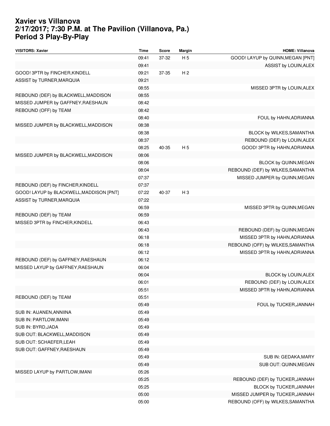#### **Xavier vs Villanova 2/17/2017; 7:30 P.M. at The Pavilion (Villanova, Pa.) Period 3 Play-By-Play**

| <b>VISITORS: Xavier</b>                  | Time  | Score | <b>Margin</b>  | <b>HOME: Villanova</b>            |
|------------------------------------------|-------|-------|----------------|-----------------------------------|
|                                          | 09:41 | 37-32 | H <sub>5</sub> | GOOD! LAYUP by QUINN, MEGAN [PNT] |
|                                          | 09:41 |       |                | ASSIST by LOUIN, ALEX             |
| GOOD! 3PTR by FINCHER, KINDELL           | 09:21 | 37-35 | H <sub>2</sub> |                                   |
| ASSIST by TURNER, MARQUIA                | 09:21 |       |                |                                   |
|                                          | 08:55 |       |                | MISSED 3PTR by LOUIN, ALEX        |
| REBOUND (DEF) by BLACKWELL, MADDISON     | 08:55 |       |                |                                   |
| MISSED JUMPER by GAFFNEY, RAESHAUN       | 08:42 |       |                |                                   |
| REBOUND (OFF) by TEAM                    | 08:42 |       |                |                                   |
|                                          | 08:40 |       |                | FOUL by HAHN, ADRIANNA            |
| MISSED JUMPER by BLACKWELL, MADDISON     | 08:38 |       |                |                                   |
|                                          | 08:38 |       |                | BLOCK by WILKES, SAMANTHA         |
|                                          | 08:37 |       |                | REBOUND (DEF) by LOUIN, ALEX      |
|                                          | 08:25 | 40-35 | H <sub>5</sub> | GOOD! 3PTR by HAHN, ADRIANNA      |
| MISSED JUMPER by BLACKWELL, MADDISON     | 08:06 |       |                |                                   |
|                                          | 08:06 |       |                | BLOCK by QUINN, MEGAN             |
|                                          | 08:04 |       |                | REBOUND (DEF) by WILKES, SAMANTHA |
|                                          | 07:37 |       |                | MISSED JUMPER by QUINN, MEGAN     |
| REBOUND (DEF) by FINCHER, KINDELL        | 07:37 |       |                |                                   |
| GOOD! LAYUP by BLACKWELL, MADDISON [PNT] | 07:22 | 40-37 | $H_3$          |                                   |
| ASSIST by TURNER, MARQUIA                | 07:22 |       |                |                                   |
|                                          | 06:59 |       |                | MISSED 3PTR by QUINN, MEGAN       |
| REBOUND (DEF) by TEAM                    | 06:59 |       |                |                                   |
| MISSED 3PTR by FINCHER, KINDELL          | 06:43 |       |                |                                   |
|                                          | 06:43 |       |                | REBOUND (DEF) by QUINN, MEGAN     |
|                                          | 06:18 |       |                | MISSED 3PTR by HAHN, ADRIANNA     |
|                                          | 06:18 |       |                | REBOUND (OFF) by WILKES, SAMANTHA |
|                                          | 06:12 |       |                | MISSED 3PTR by HAHN, ADRIANNA     |
| REBOUND (DEF) by GAFFNEY, RAESHAUN       | 06:12 |       |                |                                   |
| MISSED LAYUP by GAFFNEY, RAESHAUN        | 06:04 |       |                |                                   |
|                                          | 06:04 |       |                | BLOCK by LOUIN, ALEX              |
|                                          | 06:01 |       |                | REBOUND (DEF) by LOUIN, ALEX      |
|                                          | 05:51 |       |                | MISSED 3PTR by HAHN, ADRIANNA     |
| REBOUND (DEF) by TEAM                    | 05:51 |       |                |                                   |
|                                          | 05:49 |       |                | FOUL by TUCKER, JANNAH            |
| SUB IN: AIJANEN, ANNIINA                 | 05:49 |       |                |                                   |
| SUB IN: PARTLOW, IMANI                   | 05:49 |       |                |                                   |
| SUB IN: BYRD, JADA                       | 05:49 |       |                |                                   |
| SUB OUT: BLACKWELL, MADDISON             | 05:49 |       |                |                                   |
| SUB OUT: SCHAEFER, LEAH                  | 05:49 |       |                |                                   |
| SUB OUT: GAFFNEY, RAESHAUN               | 05:49 |       |                |                                   |
|                                          | 05:49 |       |                | SUB IN: GEDAKA, MARY              |
|                                          | 05:49 |       |                | SUB OUT: QUINN, MEGAN             |
| MISSED LAYUP by PARTLOW, IMANI           | 05:26 |       |                |                                   |
|                                          | 05:25 |       |                | REBOUND (DEF) by TUCKER, JANNAH   |
|                                          | 05:25 |       |                | BLOCK by TUCKER, JANNAH           |
|                                          | 05:00 |       |                | MISSED JUMPER by TUCKER, JANNAH   |
|                                          | 05:00 |       |                | REBOUND (OFF) by WILKES, SAMANTHA |
|                                          |       |       |                |                                   |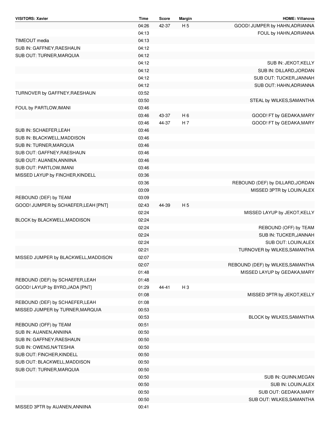| <b>VISITORS: Xavier</b>              | Time  | Score | Margin         | <b>HOME: Villanova</b>            |
|--------------------------------------|-------|-------|----------------|-----------------------------------|
|                                      | 04:26 | 42-37 | H <sub>5</sub> | GOOD! JUMPER by HAHN, ADRIANNA    |
|                                      | 04:13 |       |                | FOUL by HAHN, ADRIANNA            |
| TIMEOUT media                        | 04:13 |       |                |                                   |
| SUB IN: GAFFNEY, RAESHAUN            | 04:12 |       |                |                                   |
| SUB OUT: TURNER, MARQUIA             | 04:12 |       |                |                                   |
|                                      | 04:12 |       |                | SUB IN: JEKOT, KELLY              |
|                                      | 04:12 |       |                | SUB IN: DILLARD, JORDAN           |
|                                      | 04:12 |       |                | SUB OUT: TUCKER, JANNAH           |
|                                      | 04:12 |       |                | SUB OUT: HAHN, ADRIANNA           |
| TURNOVER by GAFFNEY, RAESHAUN        | 03:52 |       |                |                                   |
|                                      | 03:50 |       |                | STEAL by WILKES, SAMANTHA         |
| FOUL by PARTLOW, IMANI               | 03:46 |       |                |                                   |
|                                      | 03:46 | 43-37 | H <sub>6</sub> | GOOD! FT by GEDAKA, MARY          |
|                                      | 03:46 | 44-37 | H <sub>7</sub> | GOOD! FT by GEDAKA, MARY          |
| SUB IN: SCHAEFER, LEAH               | 03:46 |       |                |                                   |
| SUB IN: BLACKWELL, MADDISON          | 03:46 |       |                |                                   |
| <b>SUB IN: TURNER, MARQUIA</b>       | 03:46 |       |                |                                   |
| SUB OUT: GAFFNEY, RAESHAUN           | 03:46 |       |                |                                   |
| SUB OUT: AIJANEN, ANNIINA            | 03:46 |       |                |                                   |
| SUB OUT: PARTLOW, IMANI              | 03:46 |       |                |                                   |
| MISSED LAYUP by FINCHER, KINDELL     | 03:36 |       |                |                                   |
|                                      | 03:36 |       |                | REBOUND (DEF) by DILLARD, JORDAN  |
|                                      | 03:09 |       |                | MISSED 3PTR by LOUIN, ALEX        |
| REBOUND (DEF) by TEAM                | 03:09 |       |                |                                   |
| GOOD! JUMPER by SCHAEFER, LEAH [PNT] | 02:43 | 44-39 | H <sub>5</sub> |                                   |
|                                      | 02:24 |       |                | MISSED LAYUP by JEKOT, KELLY      |
| BLOCK by BLACKWELL, MADDISON         | 02:24 |       |                |                                   |
|                                      | 02:24 |       |                | REBOUND (OFF) by TEAM             |
|                                      | 02:24 |       |                | SUB IN: TUCKER, JANNAH            |
|                                      | 02:24 |       |                | SUB OUT: LOUIN, ALEX              |
|                                      | 02:21 |       |                | TURNOVER by WILKES, SAMANTHA      |
| MISSED JUMPER by BLACKWELL, MADDISON | 02:07 |       |                |                                   |
|                                      | 02:07 |       |                | REBOUND (DEF) by WILKES, SAMANTHA |
|                                      | 01:48 |       |                | MISSED LAYUP by GEDAKA, MARY      |
| REBOUND (DEF) by SCHAEFER, LEAH      | 01:48 |       |                |                                   |
| GOOD! LAYUP by BYRD, JADA [PNT]      | 01:29 | 44-41 | $H_3$          |                                   |
|                                      | 01:08 |       |                | MISSED 3PTR by JEKOT, KELLY       |
| REBOUND (DEF) by SCHAEFER, LEAH      | 01:08 |       |                |                                   |
| MISSED JUMPER by TURNER, MARQUIA     | 00:53 |       |                |                                   |
|                                      | 00:53 |       |                | BLOCK by WILKES, SAMANTHA         |
| REBOUND (OFF) by TEAM                | 00:51 |       |                |                                   |
| SUB IN: AIJANEN, ANNIINA             | 00:50 |       |                |                                   |
| SUB IN: GAFFNEY, RAESHAUN            | 00:50 |       |                |                                   |
| SUB IN: OWENS, NA'TESHIA             | 00:50 |       |                |                                   |
| SUB OUT: FINCHER, KINDELL            | 00:50 |       |                |                                   |
| SUB OUT: BLACKWELL, MADDISON         | 00:50 |       |                |                                   |
| SUB OUT: TURNER, MARQUIA             | 00:50 |       |                |                                   |
|                                      | 00:50 |       |                | SUB IN: QUINN, MEGAN              |
|                                      | 00:50 |       |                | SUB IN: LOUIN, ALEX               |
|                                      | 00:50 |       |                | SUB OUT: GEDAKA, MARY             |
|                                      | 00:50 |       |                | SUB OUT: WILKES, SAMANTHA         |
| MISSED 3PTR by AIJANEN, ANNIINA      | 00:41 |       |                |                                   |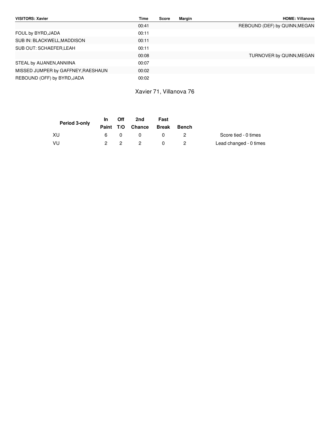| VISITORS: Xavier                   | Time  | <b>Score</b> | Margin | <b>HOME: Villanova</b>        |
|------------------------------------|-------|--------------|--------|-------------------------------|
|                                    | 00:41 |              |        | REBOUND (DEF) by QUINN, MEGAN |
| FOUL by BYRD, JADA                 | 00:11 |              |        |                               |
| SUB IN: BLACKWELL, MADDISON        | 00:11 |              |        |                               |
| SUB OUT: SCHAEFER, LEAH            | 00:11 |              |        |                               |
|                                    | 00:08 |              |        | TURNOVER by QUINN, MEGAN      |
| STEAL by AIJANEN, ANNIINA          | 00:07 |              |        |                               |
| MISSED JUMPER by GAFFNEY, RAESHAUN | 00:02 |              |        |                               |
| REBOUND (OFF) by BYRD, JADA        | 00:02 |              |        |                               |

Xavier 71, Villanova 76

| Period 3-only | In In | Off         | 2nd                    | Fast |              |                        |
|---------------|-------|-------------|------------------------|------|--------------|------------------------|
|               |       |             | Paint T/O Chance Break |      | <b>Bench</b> |                        |
| XU            | 6.    |             | - 0                    |      |              | Score tied - 0 times   |
| VU            |       | $2^{\circ}$ | - 2                    |      |              | Lead changed - 0 times |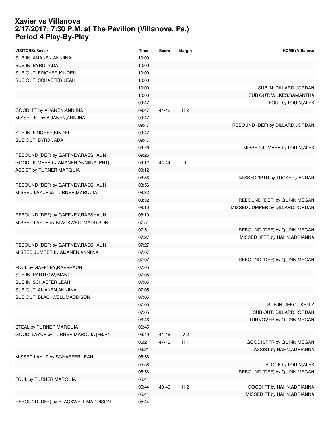#### **Xavier vs Villanova 2/17/2017; 7:30 P.M. at The Pavilion (Villanova, Pa.) Period 4 Play-By-Play**

| <b>VISITORS: Xavier</b>                 | <b>Time</b> | Score | <b>Margin</b>  | <b>HOME: Villanova</b>           |
|-----------------------------------------|-------------|-------|----------------|----------------------------------|
| SUB IN: AIJANEN, ANNIINA                | 10:00       |       |                |                                  |
| SUB IN: BYRD, JADA                      | 10:00       |       |                |                                  |
| SUB OUT: FINCHER, KINDELL               | 10:00       |       |                |                                  |
| SUB OUT: SCHAEFER, LEAH                 | 10:00       |       |                |                                  |
|                                         | 10:00       |       |                | SUB IN: DILLARD, JORDAN          |
|                                         | 10:00       |       |                | SUB OUT: WILKES, SAMANTHA        |
|                                         | 09:47       |       |                | FOUL by LOUIN, ALEX              |
| GOOD! FT by AIJANEN, ANNIINA            | 09:47       | 44-42 | H <sub>2</sub> |                                  |
| MISSED FT by AIJANEN, ANNIINA           | 09:47       |       |                |                                  |
|                                         | 09:47       |       |                | REBOUND (DEF) by DILLARD, JORDAN |
| SUB IN: FINCHER, KINDELL                | 09:47       |       |                |                                  |
| SUB OUT: BYRD, JADA                     | 09:47       |       |                |                                  |
|                                         | 09:26       |       |                | MISSED JUMPER by LOUIN, ALEX     |
| REBOUND (DEF) by GAFFNEY, RAESHAUN      | 09:26       |       |                |                                  |
| GOOD! JUMPER by AIJANEN, ANNIINA [PNT]  | 09:12       | 44-44 | Τ              |                                  |
| ASSIST by TURNER, MARQUIA               | 09:12       |       |                |                                  |
|                                         | 08:56       |       |                | MISSED 3PTR by TUCKER, JANNAH    |
| REBOUND (DEF) by GAFFNEY, RAESHAUN      | 08:56       |       |                |                                  |
| MISSED LAYUP by TURNER, MARQUIA         | 08:32       |       |                |                                  |
|                                         | 08:32       |       |                | REBOUND (DEF) by QUINN, MEGAN    |
|                                         | 08:10       |       |                | MISSED JUMPER by DILLARD, JORDAN |
| REBOUND (DEF) by GAFFNEY, RAESHAUN      | 08:10       |       |                |                                  |
| MISSED LAYUP by BLACKWELL, MADDISON     | 07:51       |       |                |                                  |
|                                         | 07:51       |       |                | REBOUND (DEF) by QUINN, MEGAN    |
|                                         | 07:27       |       |                | MISSED 3PTR by HAHN, ADRIANNA    |
| REBOUND (DEF) by GAFFNEY, RAESHAUN      | 07:27       |       |                |                                  |
| MISSED JUMPER by AIJANEN, ANNIINA       | 07:07       |       |                |                                  |
|                                         | 07:07       |       |                | REBOUND (DEF) by QUINN, MEGAN    |
| FOUL by GAFFNEY, RAESHAUN               | 07:05       |       |                |                                  |
| SUB IN: PARTLOW, IMANI                  | 07:05       |       |                |                                  |
| SUB IN: SCHAEFER, LEAH                  | 07:05       |       |                |                                  |
| SUB OUT: AIJANEN, ANNIINA               | 07:05       |       |                |                                  |
| SUB OUT: BLACKWELL, MADDISON            | 07:05       |       |                |                                  |
|                                         | 07:05       |       |                | SUB IN: JEKOT, KELLY             |
|                                         | 07:05       |       |                | SUB OUT: DILLARD, JORDAN         |
|                                         | 06:46       |       |                | TURNOVER by QUINN, MEGAN         |
| STEAL by TURNER, MARQUIA                | 06:45       |       |                |                                  |
| GOOD! LAYUP by TURNER, MARQUIA [FB/PNT] | 06:40       | 44-46 | V <sub>2</sub> |                                  |
|                                         | 06:21       | 47-46 | H <sub>1</sub> | GOOD! 3PTR by QUINN, MEGAN       |
|                                         | 06:21       |       |                | ASSIST by HAHN, ADRIANNA         |
| MISSED LAYUP by SCHAEFER, LEAH          | 05:58       |       |                |                                  |
|                                         | 05:58       |       |                | BLOCK by LOUIN, ALEX             |
|                                         | 05:56       |       |                | REBOUND (DEF) by QUINN, MEGAN    |
| FOUL by TURNER, MARQUIA                 | 05:44       |       |                |                                  |
|                                         | 05:44       | 48-46 | H <sub>2</sub> | GOOD! FT by HAHN, ADRIANNA       |
|                                         | 05:44       |       |                | MISSED FT by HAHN, ADRIANNA      |
| REBOUND (DEF) by BLACKWELL, MADDISON    | 05:44       |       |                |                                  |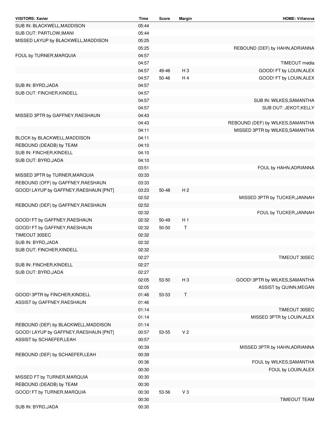| <b>VISITORS: Xavier</b>                | Time  | Score     | Margin         | <b>HOME: Villanova</b>            |
|----------------------------------------|-------|-----------|----------------|-----------------------------------|
| SUB IN: BLACKWELL, MADDISON            | 05:44 |           |                |                                   |
| SUB OUT: PARTLOW, IMANI                | 05:44 |           |                |                                   |
| MISSED LAYUP by BLACKWELL, MADDISON    | 05:25 |           |                |                                   |
|                                        | 05:25 |           |                | REBOUND (DEF) by HAHN, ADRIANNA   |
| FOUL by TURNER, MARQUIA                | 04:57 |           |                |                                   |
|                                        | 04:57 |           |                | TIMEOUT media                     |
|                                        | 04:57 | 49-46     | H <sub>3</sub> | GOOD! FT by LOUIN, ALEX           |
|                                        | 04:57 | $50 - 46$ | H 4            | GOOD! FT by LOUIN, ALEX           |
| SUB IN: BYRD, JADA                     | 04:57 |           |                |                                   |
| SUB OUT: FINCHER, KINDELL              | 04:57 |           |                |                                   |
|                                        | 04:57 |           |                | SUB IN: WILKES, SAMANTHA          |
|                                        | 04:57 |           |                | SUB OUT: JEKOT, KELLY             |
| MISSED 3PTR by GAFFNEY, RAESHAUN       | 04:43 |           |                |                                   |
|                                        |       |           |                |                                   |
|                                        | 04:43 |           |                | REBOUND (DEF) by WILKES, SAMANTHA |
|                                        | 04:11 |           |                | MISSED 3PTR by WILKES, SAMANTHA   |
| BLOCK by BLACKWELL, MADDISON           | 04:11 |           |                |                                   |
| REBOUND (DEADB) by TEAM                | 04:10 |           |                |                                   |
| SUB IN: FINCHER, KINDELL               | 04:10 |           |                |                                   |
| SUB OUT: BYRD, JADA                    | 04:10 |           |                |                                   |
|                                        | 03:51 |           |                | FOUL by HAHN, ADRIANNA            |
| MISSED 3PTR by TURNER, MARQUIA         | 03:33 |           |                |                                   |
| REBOUND (OFF) by GAFFNEY, RAESHAUN     | 03:33 |           |                |                                   |
| GOOD! LAYUP by GAFFNEY, RAESHAUN [PNT] | 03:23 | $50 - 48$ | H <sub>2</sub> |                                   |
|                                        | 02:52 |           |                | MISSED 3PTR by TUCKER, JANNAH     |
| REBOUND (DEF) by GAFFNEY, RAESHAUN     | 02:52 |           |                |                                   |
|                                        | 02:32 |           |                | FOUL by TUCKER, JANNAH            |
| GOOD! FT by GAFFNEY, RAESHAUN          | 02:32 | 50-49     | H <sub>1</sub> |                                   |
| GOOD! FT by GAFFNEY, RAESHAUN          | 02:32 | 50-50     | т              |                                   |
| <b>TIMEOUT 30SEC</b>                   | 02:32 |           |                |                                   |
| SUB IN: BYRD, JADA                     | 02:32 |           |                |                                   |
| SUB OUT: FINCHER, KINDELL              | 02:32 |           |                |                                   |
|                                        | 02:27 |           |                | TIMEOUT 30SEC                     |
| SUB IN: FINCHER, KINDELL               | 02:27 |           |                |                                   |
| SUB OUT: BYRD, JADA                    | 02:27 |           |                |                                   |
|                                        | 02:05 | 53-50     | H <sub>3</sub> | GOOD! 3PTR by WILKES, SAMANTHA    |
|                                        | 02:05 |           |                | ASSIST by QUINN, MEGAN            |
| GOOD! 3PTR by FINCHER, KINDELL         | 01:46 | 53-53     | Т              |                                   |
| ASSIST by GAFFNEY, RAESHAUN            | 01:46 |           |                |                                   |
|                                        | 01:14 |           |                | TIMEOUT 30SEC                     |
|                                        | 01:14 |           |                | MISSED 3PTR by LOUIN, ALEX        |
| REBOUND (DEF) by BLACKWELL, MADDISON   | 01:14 |           |                |                                   |
|                                        | 00:57 | 53-55     | V <sub>2</sub> |                                   |
| GOOD! LAYUP by GAFFNEY, RAESHAUN [PNT] |       |           |                |                                   |
| ASSIST by SCHAEFER, LEAH               | 00:57 |           |                |                                   |
|                                        | 00:39 |           |                | MISSED 3PTR by HAHN, ADRIANNA     |
| REBOUND (DEF) by SCHAEFER, LEAH        | 00:39 |           |                |                                   |
|                                        | 00:36 |           |                | FOUL by WILKES, SAMANTHA          |
|                                        | 00:30 |           |                | FOUL by LOUIN, ALEX               |
| MISSED FT by TURNER, MARQUIA           | 00:30 |           |                |                                   |
| REBOUND (DEADB) by TEAM                | 00:30 |           |                |                                   |
| GOOD! FT by TURNER, MARQUIA            | 00:30 | 53-56     | $V_3$          |                                   |
|                                        | 00:30 |           |                | <b>TIMEOUT TEAM</b>               |
| SUB IN: BYRD, JADA                     | 00:30 |           |                |                                   |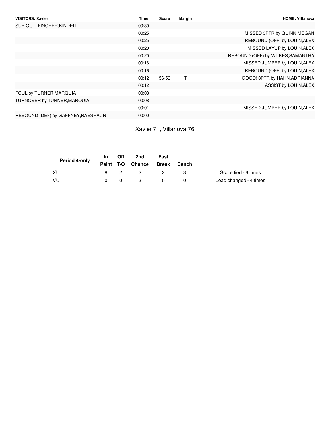| <b>VISITORS: Xavier</b>            | Time  | Score | Margin | <b>HOME: Villanova</b>            |
|------------------------------------|-------|-------|--------|-----------------------------------|
| SUB OUT: FINCHER, KINDELL          | 00:30 |       |        |                                   |
|                                    | 00:25 |       |        | MISSED 3PTR by QUINN, MEGAN       |
|                                    | 00:25 |       |        | REBOUND (OFF) by LOUIN, ALEX      |
|                                    | 00:20 |       |        | MISSED LAYUP by LOUIN, ALEX       |
|                                    | 00:20 |       |        | REBOUND (OFF) by WILKES, SAMANTHA |
|                                    | 00:16 |       |        | MISSED JUMPER by LOUIN, ALEX      |
|                                    | 00:16 |       |        | REBOUND (OFF) by LOUIN, ALEX      |
|                                    | 00:12 | 56-56 | Т      | GOOD! 3PTR by HAHN, ADRIANNA      |
|                                    | 00:12 |       |        | ASSIST by LOUIN, ALEX             |
| FOUL by TURNER, MARQUIA            | 00:08 |       |        |                                   |
| TURNOVER by TURNER, MARQUIA        | 00:08 |       |        |                                   |
|                                    | 00:01 |       |        | MISSED JUMPER by LOUIN, ALEX      |
| REBOUND (DEF) by GAFFNEY, RAESHAUN | 00:00 |       |        |                                   |
|                                    |       |       |        |                                   |

Xavier 71, Villanova 76

| Period 4-only | In 1     | Off | 2nd                    | Fast           |       |                        |
|---------------|----------|-----|------------------------|----------------|-------|------------------------|
|               |          |     | Paint T/O Chance Break |                | Bench |                        |
| XU            |          | 8 2 | $\overline{2}$         | $\overline{2}$ |       | Score tied - 6 times   |
| - VU          | $\Omega$ | 0   | $\mathbf{R}$           |                |       | Lead changed - 4 times |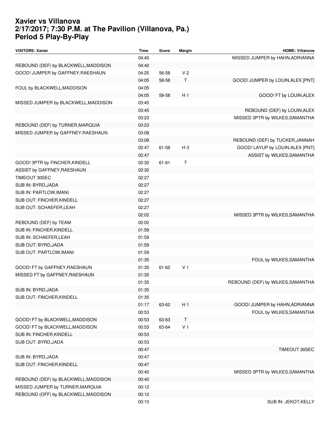#### **Xavier vs Villanova 2/17/2017; 7:30 P.M. at The Pavilion (Villanova, Pa.) Period 5 Play-By-Play**

| <b>VISITORS: Xavier</b>              | Time  | <b>Score</b> | <b>Margin</b>  | <b>HOME: Villanova</b>            |
|--------------------------------------|-------|--------------|----------------|-----------------------------------|
|                                      | 04:40 |              |                | MISSED JUMPER by HAHN, ADRIANNA   |
| REBOUND (DEF) by BLACKWELL, MADDISON | 04:40 |              |                |                                   |
| GOOD! JUMPER by GAFFNEY, RAESHAUN    | 04:25 | 56-58        | V <sub>2</sub> |                                   |
|                                      | 04:05 | 58-58        | Т              | GOOD! JUMPER by LOUIN, ALEX [PNT] |
| FOUL by BLACKWELL, MADDISON          | 04:05 |              |                |                                   |
|                                      | 04:05 | 59-58        | H <sub>1</sub> | GOOD! FT by LOUIN, ALEX           |
| MISSED JUMPER by BLACKWELL, MADDISON | 03:45 |              |                |                                   |
|                                      | 03:45 |              |                | REBOUND (DEF) by LOUIN, ALEX      |
|                                      | 03:23 |              |                | MISSED 3PTR by WILKES, SAMANTHA   |
| REBOUND (DEF) by TURNER, MARQUIA     | 03:23 |              |                |                                   |
| MISSED JUMPER by GAFFNEY, RAESHAUN   | 03:08 |              |                |                                   |
|                                      | 03:08 |              |                | REBOUND (DEF) by TUCKER, JANNAH   |
|                                      | 02:47 | 61-58        | $H_3$          | GOOD! LAYUP by LOUIN, ALEX [PNT]  |
|                                      | 02:47 |              |                | ASSIST by WILKES, SAMANTHA        |
| GOOD! 3PTR by FINCHER, KINDELL       | 02:30 | $61 - 61$    | Т              |                                   |
| ASSIST by GAFFNEY, RAESHAUN          | 02:30 |              |                |                                   |
| <b>TIMEOUT 30SEC</b>                 | 02:27 |              |                |                                   |
| SUB IN: BYRD, JADA                   | 02:27 |              |                |                                   |
| SUB IN: PARTLOW, IMANI               | 02:27 |              |                |                                   |
| SUB OUT: FINCHER, KINDELL            | 02:27 |              |                |                                   |
| SUB OUT: SCHAEFER, LEAH              | 02:27 |              |                |                                   |
|                                      | 02:02 |              |                | MISSED 3PTR by WILKES, SAMANTHA   |
| REBOUND (DEF) by TEAM                | 02:02 |              |                |                                   |
| SUB IN: FINCHER, KINDELL             | 01:59 |              |                |                                   |
| SUB IN: SCHAEFER, LEAH               | 01:59 |              |                |                                   |
| SUB OUT: BYRD, JADA                  | 01:59 |              |                |                                   |
| SUB OUT: PARTLOW, IMANI              | 01:59 |              |                |                                   |
|                                      | 01:35 |              |                | FOUL by WILKES, SAMANTHA          |
| GOOD! FT by GAFFNEY, RAESHAUN        | 01:35 | $61 - 62$    | V <sub>1</sub> |                                   |
| MISSED FT by GAFFNEY, RAESHAUN       | 01:35 |              |                |                                   |
|                                      | 01:35 |              |                | REBOUND (DEF) by WILKES, SAMANTHA |
| SUB IN: BYRD, JADA                   | 01:35 |              |                |                                   |
| SUB OUT: FINCHER, KINDELL            | 01:35 |              |                |                                   |
|                                      | 01:17 | 63-62        | H <sub>1</sub> | GOOD! JUMPER by HAHN, ADRIANNA    |
|                                      | 00:53 |              |                | FOUL by WILKES, SAMANTHA          |
| GOOD! FT by BLACKWELL, MADDISON      | 00:53 | 63-63        | Τ              |                                   |
| GOOD! FT by BLACKWELL, MADDISON      | 00:53 | 63-64        | V <sub>1</sub> |                                   |
| SUB IN: FINCHER, KINDELL             | 00:53 |              |                |                                   |
| SUB OUT: BYRD, JADA                  | 00:53 |              |                |                                   |
|                                      | 00:47 |              |                | TIMEOUT 30SEC                     |
| SUB IN: BYRD, JADA                   | 00:47 |              |                |                                   |
| SUB OUT: FINCHER, KINDELL            | 00:47 |              |                |                                   |
|                                      | 00:40 |              |                | MISSED 3PTR by WILKES, SAMANTHA   |
| REBOUND (DEF) by BLACKWELL, MADDISON | 00:40 |              |                |                                   |
| MISSED JUMPER by TURNER, MARQUIA     | 00:12 |              |                |                                   |
| REBOUND (OFF) by BLACKWELL, MADDISON | 00:12 |              |                |                                   |
|                                      | 00:10 |              |                | SUB IN: JEKOT, KELLY              |
|                                      |       |              |                |                                   |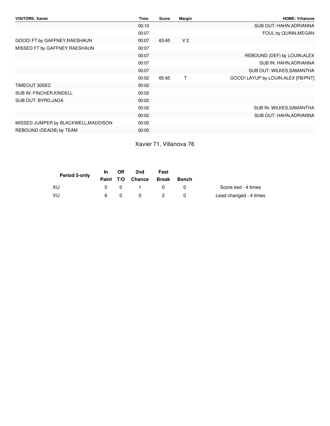| <b>VISITORS: Xavier</b>              | <b>Time</b> | Score | Margin         | <b>HOME: Villanova</b>              |
|--------------------------------------|-------------|-------|----------------|-------------------------------------|
|                                      | 00:10       |       |                | SUB OUT: HAHN, ADRIANNA             |
|                                      | 00:07       |       |                | FOUL by QUINN, MEGAN                |
| GOOD! FT by GAFFNEY, RAESHAUN        | 00:07       | 63-65 | V <sub>2</sub> |                                     |
| MISSED FT by GAFFNEY, RAESHAUN       | 00:07       |       |                |                                     |
|                                      | 00:07       |       |                | REBOUND (DEF) by LOUIN, ALEX        |
|                                      | 00:07       |       |                | SUB IN: HAHN, ADRIANNA              |
|                                      | 00:07       |       |                | SUB OUT: WILKES, SAMANTHA           |
|                                      | 00:02       | 65-65 | т              | GOOD! LAYUP by LOUIN, ALEX [FB/PNT] |
| TIMEOUT 30SEC                        | 00:02       |       |                |                                     |
| SUB IN: FINCHER, KINDELL             | 00:02       |       |                |                                     |
| SUB OUT: BYRD, JADA                  | 00:02       |       |                |                                     |
|                                      | 00:02       |       |                | SUB IN: WILKES, SAMANTHA            |
|                                      | 00:02       |       |                | SUB OUT: HAHN, ADRIANNA             |
| MISSED JUMPER by BLACKWELL, MADDISON | 00:00       |       |                |                                     |
| REBOUND (DEADB) by TEAM              | 00:00       |       |                |                                     |

Xavier 71, Villanova 76

| Period 5-only | <b>In</b>    | Off      | 2nd                    | Fast     |              |                        |
|---------------|--------------|----------|------------------------|----------|--------------|------------------------|
|               |              |          | Paint T/O Chance Break |          | <b>Bench</b> |                        |
| XU            | $\mathsf{n}$ | $\Omega$ | $\sim$ 1 $\sim$        |          |              | Score tied - 4 times   |
| - VU          | 6.           | 0        |                        | $\sim$ 2 |              | Lead changed - 4 times |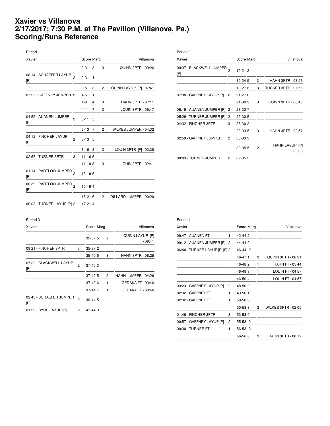#### **Xavier vs Villanova 2/17/2017; 7:30 P.M. at The Pavilion (Villanova, Pa.) Scoring/Runs Reference**

| Period 1                      |                |            |   |                |                          |
|-------------------------------|----------------|------------|---|----------------|--------------------------|
| Xavier                        |                | Score Marg |   |                | Villanova                |
|                               |                | $0 - 3$    | 3 | 3              | QUINN 3PTR - 09:26       |
| 08:14 - SCHAEFER LAYUP<br>[P] | $\mathfrak{p}$ | $2 - 3$    | 1 |                |                          |
|                               |                | $2 - 5$    | 3 | $\overline{c}$ | QUINN LAYUP [P] - 07:41  |
| 07:25 - GAFFNEY JUMPER 2      |                | $4 - 5$    | 1 |                |                          |
|                               |                | $4 - 8$    | 4 | 3              | <b>HAHN 3PTR - 07:11</b> |
|                               |                | $4 - 11$   | 7 | 3              | LOUIN 3PTR - 05:47       |
| 04:55 - AIJANEN JUMPER<br>[P] | $\overline{2}$ | $6 - 11$   | 5 |                |                          |
|                               |                | $6 - 13$   | 7 | 2              | WILKES JUMPER - 04:32    |
| 04:12 - FINCHER LAYUP<br>[P]  | $\overline{2}$ | $8 - 13$   | 5 |                |                          |
|                               |                | $8 - 16$   | 8 | 3              | LOUIN 3PTR [F] - 03:38   |
| 02:55 - TURNER 3PTR           | 3              | $11 - 165$ |   |                |                          |
|                               |                | $11 - 198$ |   | 3              | LOUIN 3PTR - 02:41       |
| 01:14 - PARTLOW JUMPER<br>[P] | b              | 13-196     |   |                |                          |
| 00:39 - PARTLOW JUMPER<br>[P] | 2              | 15-194     |   |                |                          |
|                               |                | $15-216$   |   | $\overline{2}$ | DILLARD JUMPER - 00:20   |
| 00:03 - TURNER LAYUP [P] 2    |                | 17-214     |   |                |                          |
|                               |                |            |   |                |                          |

| Xavier                          |                | Score Marg |                | Villanova                  |
|---------------------------------|----------------|------------|----------------|----------------------------|
| 09:37 - BLACKWELL JUMPER<br>[P] |                | 19-21 2    |                |                            |
|                                 |                | 19-24 5    | 3              | HAHN 3PTR - 08:56          |
|                                 |                | 19-278     | 3              | <b>TUCKER 3PTR - 07:56</b> |
| 07:38 - GAFFNEY LAYUP [P]       | $\overline{c}$ | $21 - 276$ |                |                            |
|                                 |                | $21 - 309$ | 3              | QUINN 3PTR - 06:43         |
| 06:19 - AIJANEN JUMPER [P]      | $\overline{2}$ | 23-307     |                |                            |
| 05:29 - TURNER JUMPER [P]       | 2              | 25-30 5    |                |                            |
| 04:32 - FINCHER 3PTR            | 3              | 28-30 2    |                |                            |
|                                 |                | 28-33 5    | 3              | HAHN 3PTR - 03:57          |
| 02:59 - GAFFNEY JUMPER          | 2              | 30-333     |                |                            |
|                                 |                | 30-35 5    | $\overline{2}$ | HAHN LAYUP [P]<br>$-02:38$ |
| 00:03 - TURNER JUMPER           | 2              | 32-353     |                |                            |

Period 3

| Xavier                         |                       | Score Marg |  |                | Villanova                   |
|--------------------------------|-----------------------|------------|--|----------------|-----------------------------|
|                                |                       | $32-37.5$  |  | $\overline{2}$ | QUINN LAYUP [P]<br>$-09:41$ |
| 09:21 - FINCHER 3PTR           | 3                     | 35-372     |  |                |                             |
|                                |                       | 35-40 5    |  | 3              | HAHN 3PTR - 08:25           |
| 07:22 - BLACKWELL LAYUP<br>[P] | $\overline{c}$        | $37-40.3$  |  |                |                             |
|                                |                       | $37-425$   |  | $\overline{2}$ | HAHN JUMPER - 04:26         |
|                                |                       | $37-436$   |  | 1              | GEDAKA FT - 03:46           |
|                                |                       | 37-447     |  | 1              | GEDAKA FT - 03:46           |
| 02:43 - SCHAEFER JUMPER<br>[P] | $\overline{2}$        | $39-44.5$  |  |                |                             |
| 01:29 - BYRD LAYUP [P]         | $\mathbf{2}^{\prime}$ | 41-443     |  |                |                             |

| Period 4                       |                |               |   |                            |
|--------------------------------|----------------|---------------|---|----------------------------|
| Xavier                         |                | Score Marg    |   | Villanova                  |
| 09:47 - AIJANEN FT             | 1              | 42-442        |   |                            |
| 09:12 - AIJANEN JUMPER [P] 2   |                | $44 - 440$    |   |                            |
| 06:40 - TURNER LAYUP [P] [F] 2 |                | $46 - 44 - 2$ |   |                            |
|                                |                | 46-471        | 3 | QUINN 3PTR - 06:21         |
|                                |                | 46-482        | 1 | <b>HAHN FT - 05:44</b>     |
|                                |                | 46-493        | 1 | <b>LOUIN FT - 04:57</b>    |
|                                |                | 46-504        | 1 | LOUIN FT - 04:57           |
| 03:23 - GAFFNEY LAYUP [P]      | 2              | 48-502        |   |                            |
| 02:32 - GAFFNEY FT             | 1              | 49-50 1       |   |                            |
| 02:32 - GAFFNEY FT             | 1              | 50-50 0       |   |                            |
|                                |                | 50-533        | 3 | <b>WILKES 3PTR - 02:05</b> |
| 01:46 - FINCHER 3PTR           | 3              | 53-53 0       |   |                            |
| 00:57 - GAFFNEY LAYUP [P]      | $\overline{2}$ | $55 - 53 - 2$ |   |                            |
| 00:30 - TURNER FT              | 1              | $56-53-3$     |   |                            |
|                                |                | 56-56 0       | 3 | HAHN 3PTR - 00:12          |